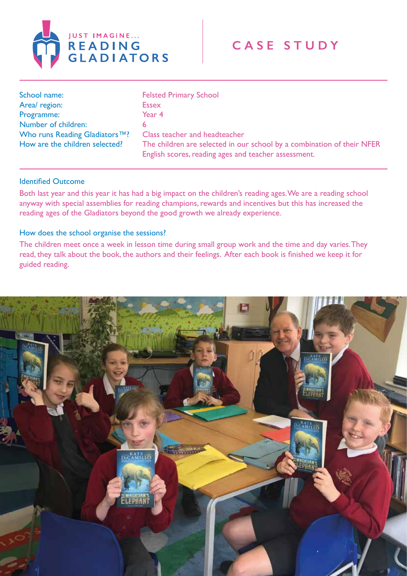

| School name:                              | <b>Felsted Primary School</b>                                                                                                  |
|-------------------------------------------|--------------------------------------------------------------------------------------------------------------------------------|
| Area/ region:                             | <b>Essex</b>                                                                                                                   |
| Programme:                                | Year 4                                                                                                                         |
| Number of children:                       |                                                                                                                                |
| Who runs Reading Gladiators <sup>™?</sup> | Class teacher and headteacher                                                                                                  |
| How are the children selected?            | The children are selected in our school by a combination of their NFER<br>English scores, reading ages and teacher assessment. |

## Identified Outcome

Both last year and this year it has had a big impact on the children's reading ages. We are a reading school anyway with special assemblies for reading champions, rewards and incentives but this has increased the reading ages of the Gladiators beyond the good growth we already experience.

## How does the school organise the sessions?

The children meet once a week in lesson time during small group work and the time and day varies. They read, they talk about the book, the authors and their feelings. After each book is finished we keep it for guided reading.